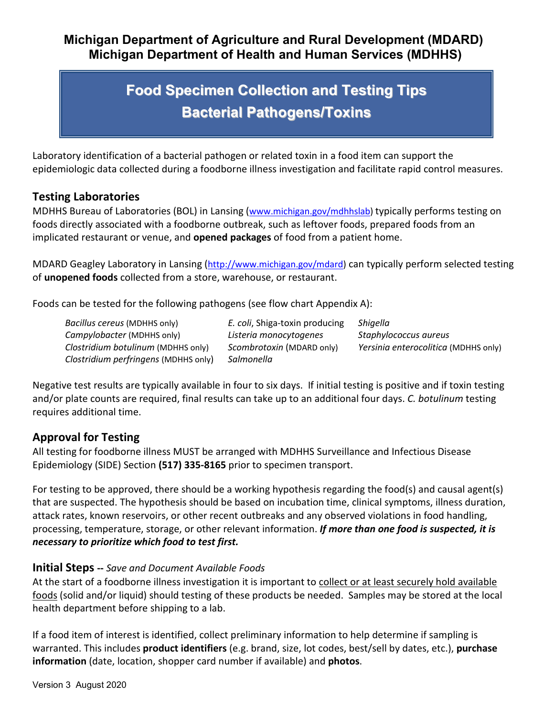### **Michigan Department of Agriculture and Rural Development (MDARD) Michigan Department of Health and Human Services (MDHHS)**

# **Food Specimen Collection and Testing Tips Bacterial Pathogens/Toxins**

Laboratory identification of a bacterial pathogen or related toxin in a food item can support the epidemiologic data collected during a foodborne illness investigation and facilitate rapid control measures.

#### **Testing Laboratories**

MDHHS Bureau of Laboratories (BOL) in Lansing [\(www.michigan.gov/mdhhslab\)](http://www.michigan.gov/mdhhslab) typically performs testing on foods directly associated with a foodborne outbreak, such as leftover foods, prepared foods from an implicated restaurant or venue, and **opened packages** of food from a patient home.

MDARD Geagley Laboratory in Lansing [\(http://www.michigan.gov/mdard\)](http://www.michigan.gov/mdard) can typically perform selected testing of **unopened foods** collected from a store, warehouse, or restaurant.

Foods can be tested for the following pathogens (see flow chart Appendix A):

*Bacillus cereus* (MDHHS only) *E. coli*, Shiga-toxin producing *Shigella Campylobacter* (MDHHS only) *Listeria monocytogenes Staphylococcus aureus Clostridium botulinum* (MDHHS only) *Scombrotoxin* (MDARD only) *Yersinia enterocolitica* (MDHHS only) *Clostridium perfringens* (MDHHS only) *Salmonella*

Negative test results are typically available in four to six days. If initial testing is positive and if toxin testing and/or plate counts are required, final results can take up to an additional four days. *C. botulinum* testing requires additional time.

### **Approval for Testing**

All testing for foodborne illness MUST be arranged with MDHHS Surveillance and Infectious Disease Epidemiology (SIDE) Section **(517) 335-8165** prior to specimen transport.

For testing to be approved, there should be a working hypothesis regarding the food(s) and causal agent(s) that are suspected. The hypothesis should be based on incubation time, clinical symptoms, illness duration, attack rates, known reservoirs, or other recent outbreaks and any observed violations in food handling, processing, temperature, storage, or other relevant information. *If more than one food is suspected, it is necessary to prioritize which food to test first.*

#### **Initial Steps --** *Save and Document Available Foods*

At the start of a foodborne illness investigation it is important to collect or at least securely hold available foods (solid and/or liquid) should testing of these products be needed. Samples may be stored at the local health department before shipping to a lab.

If a food item of interest is identified, collect preliminary information to help determine if sampling is warranted. This includes **product identifiers** (e.g. brand, size, lot codes, best/sell by dates, etc.), **purchase information** (date, location, shopper card number if available) and **photos**.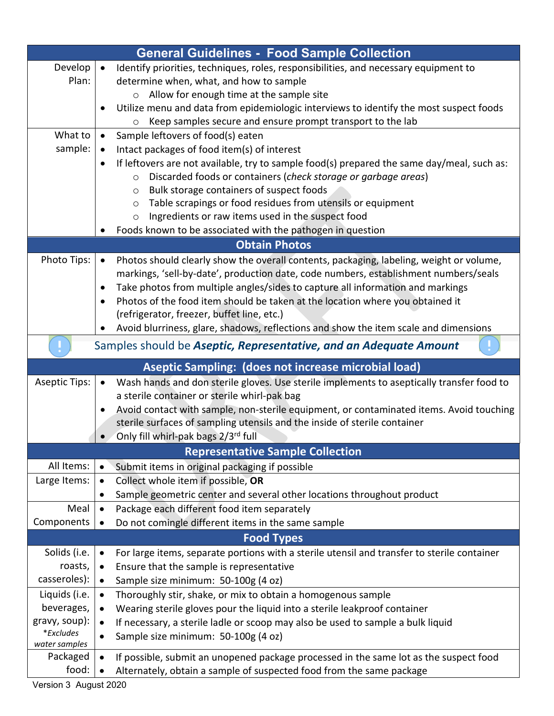| <b>General Guidelines - Food Sample Collection</b>                       |                                                                                                          |  |
|--------------------------------------------------------------------------|----------------------------------------------------------------------------------------------------------|--|
| Develop                                                                  | Identify priorities, techniques, roles, responsibilities, and necessary equipment to                     |  |
| Plan:                                                                    | determine when, what, and how to sample                                                                  |  |
|                                                                          | Allow for enough time at the sample site<br>$\circ$                                                      |  |
|                                                                          | Utilize menu and data from epidemiologic interviews to identify the most suspect foods                   |  |
|                                                                          | Keep samples secure and ensure prompt transport to the lab                                               |  |
| What to                                                                  | Sample leftovers of food(s) eaten                                                                        |  |
| sample:                                                                  | Intact packages of food item(s) of interest                                                              |  |
|                                                                          | If leftovers are not available, try to sample food(s) prepared the same day/meal, such as:<br>$\bullet$  |  |
|                                                                          | Discarded foods or containers (check storage or garbage areas)<br>$\circ$                                |  |
|                                                                          | Bulk storage containers of suspect foods<br>$\circ$                                                      |  |
|                                                                          | Table scrapings or food residues from utensils or equipment<br>$\circ$                                   |  |
|                                                                          | Ingredients or raw items used in the suspect food<br>$\circ$                                             |  |
|                                                                          | Foods known to be associated with the pathogen in question                                               |  |
| <b>Obtain Photos</b>                                                     |                                                                                                          |  |
| Photo Tips:                                                              | Photos should clearly show the overall contents, packaging, labeling, weight or volume,<br>$\bullet$     |  |
|                                                                          | markings, 'sell-by-date', production date, code numbers, establishment numbers/seals                     |  |
|                                                                          | Take photos from multiple angles/sides to capture all information and markings                           |  |
|                                                                          | Photos of the food item should be taken at the location where you obtained it                            |  |
|                                                                          | (refrigerator, freezer, buffet line, etc.)                                                               |  |
|                                                                          | Avoid blurriness, glare, shadows, reflections and show the item scale and dimensions                     |  |
| Samples should be <b>Aseptic, Representative, and an Adequate Amount</b> |                                                                                                          |  |
|                                                                          | Aseptic Sampling: (does not increase microbial load)                                                     |  |
| <b>Aseptic Tips:</b>                                                     | Wash hands and don sterile gloves. Use sterile implements to aseptically transfer food to<br>$\bullet$   |  |
|                                                                          | a sterile container or sterile whirl-pak bag                                                             |  |
|                                                                          | Avoid contact with sample, non-sterile equipment, or contaminated items. Avoid touching                  |  |
|                                                                          | sterile surfaces of sampling utensils and the inside of sterile container                                |  |
|                                                                          | Only fill whirl-pak bags 2/3rd full                                                                      |  |
| <b>Representative Sample Collection</b>                                  |                                                                                                          |  |
| All Items:                                                               | Submit items in original packaging if possible<br>$\bullet$                                              |  |
| Large Items:                                                             | Collect whole item if possible, OR<br>$\bullet$                                                          |  |
|                                                                          | Sample geometric center and several other locations throughout product                                   |  |
| Meal                                                                     | Package each different food item separately<br>$\bullet$                                                 |  |
| Components                                                               | Do not comingle different items in the same sample                                                       |  |
| <b>Food Types</b>                                                        |                                                                                                          |  |
| Solids (i.e.                                                             | For large items, separate portions with a sterile utensil and transfer to sterile container<br>$\bullet$ |  |
| roasts,                                                                  | Ensure that the sample is representative<br>$\bullet$                                                    |  |
| casseroles):                                                             | Sample size minimum: 50-100g (4 oz)<br>$\bullet$                                                         |  |
| Liquids (i.e.                                                            | Thoroughly stir, shake, or mix to obtain a homogenous sample<br>$\bullet$                                |  |
| beverages,                                                               | Wearing sterile gloves pour the liquid into a sterile leakproof container                                |  |
| gravy, soup):                                                            | If necessary, a sterile ladle or scoop may also be used to sample a bulk liquid<br>$\bullet$             |  |
| *Excludes                                                                | Sample size minimum: 50-100g (4 oz)                                                                      |  |
| water samples                                                            |                                                                                                          |  |
| Packaged                                                                 | If possible, submit an unopened package processed in the same lot as the suspect food<br>$\bullet$       |  |
| food:                                                                    | Alternately, obtain a sample of suspected food from the same package                                     |  |